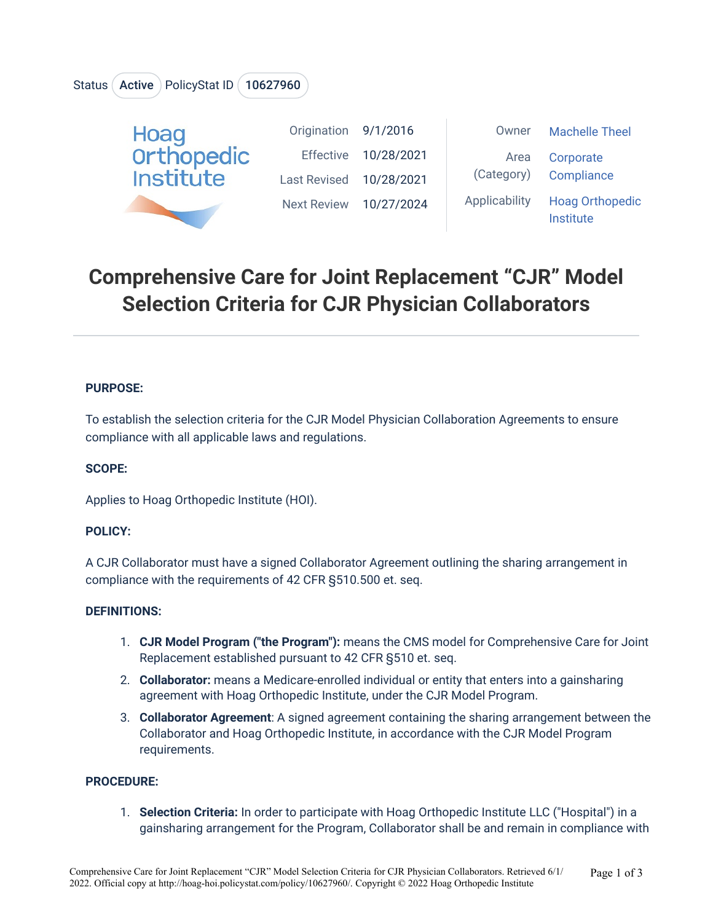## Status (Active ) PolicyStat ID (10627960



# **Comprehensive Care for Joint Replacement "CJR" Model Selection Criteria for CJR Physician Collaborators**

#### **PURPOSE:**

To establish the selection criteria for the CJR Model Physician Collaboration Agreements to ensure compliance with all applicable laws and regulations.

#### **SCOPE:**

Applies to Hoag Orthopedic Institute (HOI).

#### **POLICY:**

A CJR Collaborator must have a signed Collaborator Agreement outlining the sharing arrangement in compliance with the requirements of 42 CFR §510.500 et. seq.

#### **DEFINITIONS:**

- 1. **CJR Model Program ("the Program"):** means the CMS model for Comprehensive Care for Joint Replacement established pursuant to 42 CFR §510 et. seq.
- 2. **Collaborator:** means a Medicare-enrolled individual or entity that enters into a gainsharing agreement with Hoag Orthopedic Institute, under the CJR Model Program.
- 3. **Collaborator Agreement**: A signed agreement containing the sharing arrangement between the Collaborator and Hoag Orthopedic Institute, in accordance with the CJR Model Program requirements.

#### **PROCEDURE:**

1. **Selection Criteria:** In order to participate with Hoag Orthopedic Institute LLC ("Hospital") in a gainsharing arrangement for the Program, Collaborator shall be and remain in compliance with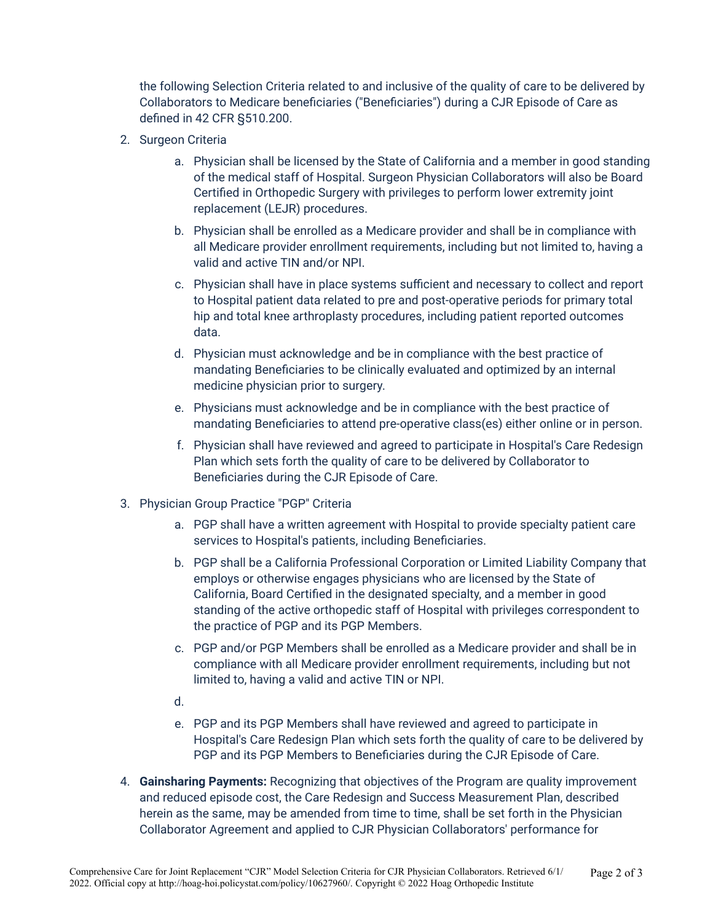the following Selection Criteria related to and inclusive of the quality of care to be delivered by Collaborators to Medicare beneficiaries ("Beneficiaries") during a CJR Episode of Care as defined in 42 CFR §510.200.

- 2. Surgeon Criteria
	- a. Physician shall be licensed by the State of California and a member in good standing of the medical staff of Hospital. Surgeon Physician Collaborators will also be Board Certified in Orthopedic Surgery with privileges to perform lower extremity joint replacement (LEJR) procedures.
	- b. Physician shall be enrolled as a Medicare provider and shall be in compliance with all Medicare provider enrollment requirements, including but not limited to, having a valid and active TIN and/or NPI.
	- c. Physician shall have in place systems sufficient and necessary to collect and report to Hospital patient data related to pre and post-operative periods for primary total hip and total knee arthroplasty procedures, including patient reported outcomes data.
	- d. Physician must acknowledge and be in compliance with the best practice of mandating Beneficiaries to be clinically evaluated and optimized by an internal medicine physician prior to surgery.
	- e. Physicians must acknowledge and be in compliance with the best practice of mandating Beneficiaries to attend pre-operative class(es) either online or in person.
	- f. Physician shall have reviewed and agreed to participate in Hospital's Care Redesign Plan which sets forth the quality of care to be delivered by Collaborator to Beneficiaries during the CJR Episode of Care.
- 3. Physician Group Practice "PGP" Criteria
	- a. PGP shall have a written agreement with Hospital to provide specialty patient care services to Hospital's patients, including Beneficiaries.
	- b. PGP shall be a California Professional Corporation or Limited Liability Company that employs or otherwise engages physicians who are licensed by the State of California, Board Certified in the designated specialty, and a member in good standing of the active orthopedic staff of Hospital with privileges correspondent to the practice of PGP and its PGP Members.
	- c. PGP and/or PGP Members shall be enrolled as a Medicare provider and shall be in compliance with all Medicare provider enrollment requirements, including but not limited to, having a valid and active TIN or NPI.
	- d.
	- e. PGP and its PGP Members shall have reviewed and agreed to participate in Hospital's Care Redesign Plan which sets forth the quality of care to be delivered by PGP and its PGP Members to Beneficiaries during the CJR Episode of Care.
- 4. **Gainsharing Payments:** Recognizing that objectives of the Program are quality improvement and reduced episode cost, the Care Redesign and Success Measurement Plan, described herein as the same, may be amended from time to time, shall be set forth in the Physician Collaborator Agreement and applied to CJR Physician Collaborators' performance for